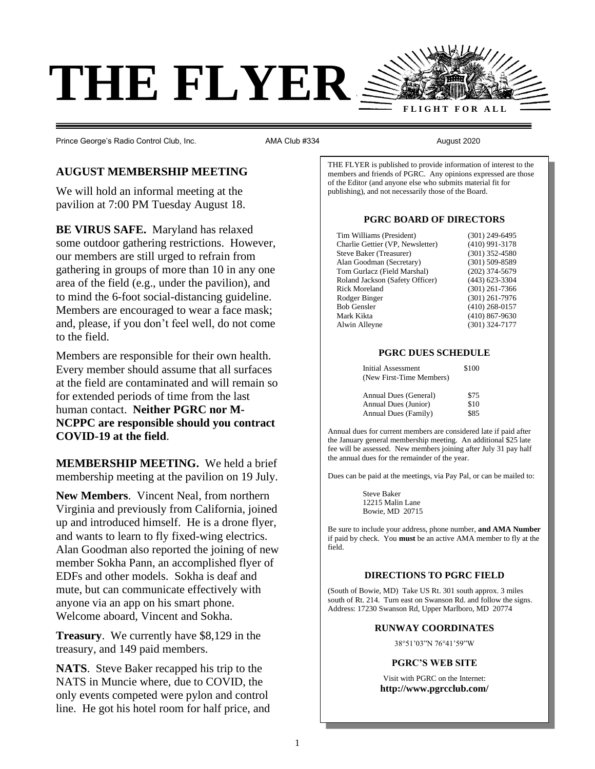

Prince George's Radio Control Club, Inc.  $\blacksquare$  AMA Club #334  $\blacksquare$  August 2020

# **AUGUST MEMBERSHIP MEETING**

We will hold an informal meeting at the pavilion at 7:00 PM Tuesday August 18.

**BE VIRUS SAFE.** Maryland has relaxed some outdoor gathering restrictions. However, our members are still urged to refrain from gathering in groups of more than 10 in any one area of the field (e.g., under the pavilion), and to mind the 6-foot social-distancing guideline. Members are encouraged to wear a face mask; and, please, if you don't feel well, do not come to the field.

Members are responsible for their own health. Every member should assume that all surfaces at the field are contaminated and will remain so for extended periods of time from the last human contact. **Neither PGRC nor M-NCPPC are responsible should you contract COVID-19 at the field**.

**MEMBERSHIP MEETING.** We held a brief membership meeting at the pavilion on 19 July.

**New Members**. Vincent Neal, from northern Virginia and previously from California, joined up and introduced himself. He is a drone flyer, and wants to learn to fly fixed-wing electrics. Alan Goodman also reported the joining of new member Sokha Pann, an accomplished flyer of EDFs and other models. Sokha is deaf and mute, but can communicate effectively with anyone via an app on his smart phone. Welcome aboard, Vincent and Sokha.

**Treasury**. We currently have \$8,129 in the treasury, and 149 paid members.

**NATS**. Steve Baker recapped his trip to the NATS in Muncie where, due to COVID, the only events competed were pylon and control line. He got his hotel room for half price, and THE FLYER is published to provide information of interest to the members and friends of PGRC. Any opinions expressed are those of the Editor (and anyone else who submits material fit for publishing), and not necessarily those of the Board.

### **PGRC BOARD OF DIRECTORS**

| Tim Williams (President)         | $(301)$ 249-6495   |
|----------------------------------|--------------------|
| Charlie Gettier (VP, Newsletter) | $(410)$ 991-3178   |
| Steve Baker (Treasurer)          | $(301)$ 352-4580   |
| Alan Goodman (Secretary)         | $(301)$ 509-8589   |
| Tom Gurlacz (Field Marshal)      | $(202)$ 374-5679   |
| Roland Jackson (Safety Officer)  | $(443)$ 623-3304   |
| Rick Moreland                    | $(301)$ 261-7366   |
| Rodger Binger                    | $(301)$ 261-7976   |
| <b>Bob Gensler</b>               | $(410)$ 268-0157   |
| Mark Kikta                       | $(410) 867 - 9630$ |
| Alwin Alleyne                    | $(301)$ 324-7177   |
|                                  |                    |

### **PGRC DUES SCHEDULE**

| <b>Initial Assessment</b> | \$100 |
|---------------------------|-------|
| (New First-Time Members)  |       |
|                           |       |
| Annual Dues (General)     | \$75  |
| Annual Dues (Junior)      | \$10  |
| Annual Dues (Family)      | \$85  |

Annual dues for current members are considered late if paid after the January general membership meeting. An additional \$25 late fee will be assessed. New members joining after July 31 pay half the annual dues for the remainder of the year.

Dues can be paid at the meetings, via Pay Pal, or can be mailed to:

Steve Baker 12215 Malin Lane Bowie, MD 20715

Be sure to include your address, phone number, **and AMA Number** if paid by check. You **must** be an active AMA member to fly at the field.

### **DIRECTIONS TO PGRC FIELD**

(South of Bowie, MD) Take US Rt. 301 south approx. 3 miles south of Rt. 214. Turn east on Swanson Rd. and follow the signs. Address: 17230 Swanson Rd, Upper Marlboro, MD 20774

### **RUNWAY COORDINATES**

38°51'03"N 76°41'59"W

## **PGRC'S WEB SITE**

Visit with PGRC on the Internet: **http://www.pgrcclub.com/**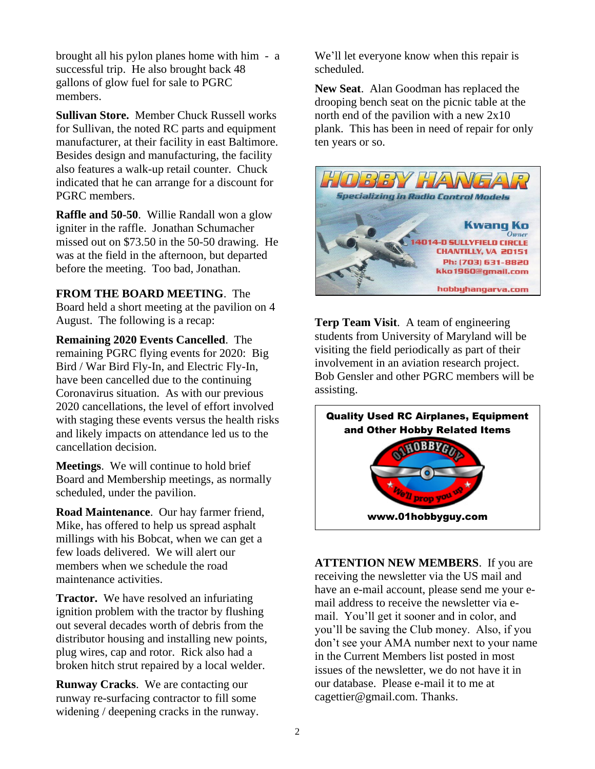brought all his pylon planes home with him - a successful trip. He also brought back 48 gallons of glow fuel for sale to PGRC members.

**Sullivan Store.** Member Chuck Russell works for Sullivan, the noted RC parts and equipment manufacturer, at their facility in east Baltimore. Besides design and manufacturing, the facility also features a walk-up retail counter. Chuck indicated that he can arrange for a discount for PGRC members.

**Raffle and 50-50**. Willie Randall won a glow igniter in the raffle. Jonathan Schumacher missed out on \$73.50 in the 50-50 drawing. He was at the field in the afternoon, but departed before the meeting. Too bad, Jonathan.

**FROM THE BOARD MEETING**. The Board held a short meeting at the pavilion on 4 August. The following is a recap:

**Remaining 2020 Events Cancelled**. The remaining PGRC flying events for 2020: Big Bird / War Bird Fly-In, and Electric Fly-In, have been cancelled due to the continuing Coronavirus situation. As with our previous 2020 cancellations, the level of effort involved with staging these events versus the health risks and likely impacts on attendance led us to the cancellation decision.

**Meetings**. We will continue to hold brief Board and Membership meetings, as normally scheduled, under the pavilion.

**Road Maintenance**. Our hay farmer friend, Mike, has offered to help us spread asphalt millings with his Bobcat, when we can get a few loads delivered. We will alert our members when we schedule the road maintenance activities.

**Tractor.** We have resolved an infuriating ignition problem with the tractor by flushing out several decades worth of debris from the distributor housing and installing new points, plug wires, cap and rotor. Rick also had a broken hitch strut repaired by a local welder.

**Runway Cracks**. We are contacting our runway re-surfacing contractor to fill some widening / deepening cracks in the runway. We'll let everyone know when this repair is scheduled.

**New Seat**. Alan Goodman has replaced the drooping bench seat on the picnic table at the north end of the pavilion with a new 2x10 plank. This has been in need of repair for only ten years or so.



**Terp Team Visit**. A team of engineering students from University of Maryland will be visiting the field periodically as part of their involvement in an aviation research project. Bob Gensler and other PGRC members will be assisting.



**ATTENTION NEW MEMBERS**. If you are receiving the newsletter via the US mail and have an e-mail account, please send me your email address to receive the newsletter via email. You'll get it sooner and in color, and you'll be saving the Club money. Also, if you don't see your AMA number next to your name in the Current Members list posted in most issues of the newsletter, we do not have it in our database. Please e-mail it to me at [cagettier@gmail.com.](mailto:cagettier@gmail.com) Thanks.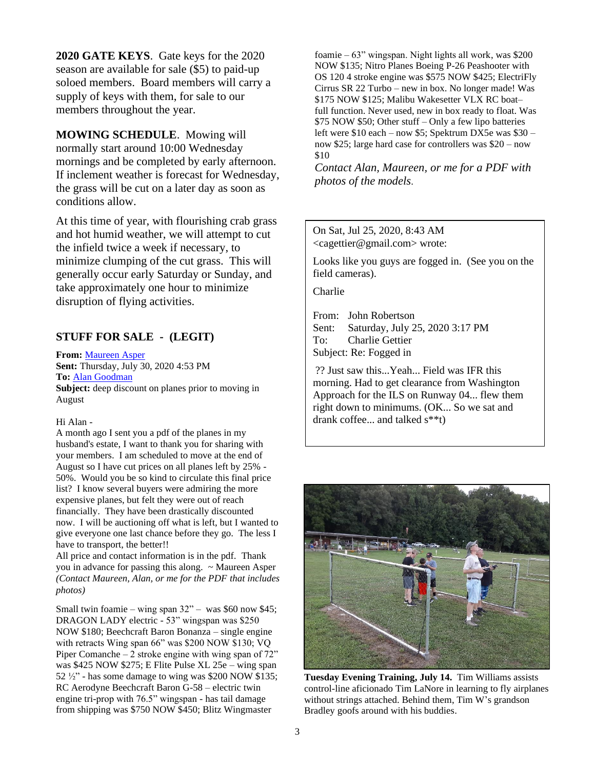**2020 GATE KEYS**. Gate keys for the 2020 season are available for sale (\$5) to paid-up soloed members. Board members will carry a supply of keys with them, for sale to our members throughout the year.

**MOWING SCHEDULE**. Mowing will normally start around 10:00 Wednesday mornings and be completed by early afternoon. If inclement weather is forecast for Wednesday, the grass will be cut on a later day as soon as conditions allow.

At this time of year, with flourishing crab grass and hot humid weather, we will attempt to cut the infield twice a week if necessary, to minimize clumping of the cut grass. This will generally occur early Saturday or Sunday, and take approximately one hour to minimize disruption of flying activities.

# **STUFF FOR SALE - (LEGIT)**

**From:** [Maureen Asper](mailto:moasper1234@gmail.com) **Sent:** Thursday, July 30, 2020 4:53 PM **To:** [Alan Goodman](mailto:ahgoodman@mindspring.com) **Subject:** deep discount on planes prior to moving in August

### Hi Alan -

A month ago I sent you a pdf of the planes in my husband's estate, I want to thank you for sharing with your members. I am scheduled to move at the end of August so I have cut prices on all planes left by 25% - 50%. Would you be so kind to circulate this final price list? I know several buyers were admiring the more expensive planes, but felt they were out of reach financially. They have been drastically discounted now. I will be auctioning off what is left, but I wanted to give everyone one last chance before they go. The less I have to transport, the better!!

All price and contact information is in the pdf. Thank you in advance for passing this along. ~ Maureen Asper *(Contact Maureen, Alan, or me for the PDF that includes photos)*

Small twin foamie – wing span  $32"$  – was \$60 now \$45; DRAGON LADY electric - 53" wingspan was \$250 NOW \$180; Beechcraft Baron Bonanza – single engine with retracts Wing span 66" was \$200 NOW \$130; VO Piper Comanche – 2 stroke engine with wing span of  $72"$ was \$425 NOW \$275; E Flite Pulse XL 25e – wing span 52  $\frac{1}{2}$ " - has some damage to wing was \$200 NOW \$135; RC Aerodyne Beechcraft Baron G-58 – electric twin engine tri-prop with 76.5" wingspan - has tail damage from shipping was \$750 NOW \$450; Blitz Wingmaster

foamie – 63" wingspan. Night lights all work, was \$200 NOW \$135; Nitro Planes Boeing P-26 Peashooter with OS 120 4 stroke engine was \$575 NOW \$425; ElectriFly Cirrus SR 22 Turbo – new in box. No longer made! Was \$175 NOW \$125; Malibu Wakesetter VLX RC boat– full function. Never used, new in box ready to float. Was \$75 NOW \$50; Other stuff – Only a few lipo batteries left were \$10 each – now \$5; Spektrum DX5e was \$30 – now \$25; large hard case for controllers was \$20 – now \$10

*Contact Alan, Maureen, or me for a PDF with photos of the models*.

### On Sat, Jul 25, 2020, 8:43 AM <cagettier@gmail.com> wrote:

Looks like you guys are fogged in. (See you on the field cameras).

Charlie

From: John Robertson Sent: Saturday, July 25, 2020 3:17 PM To: Charlie Gettier Subject: Re: Fogged in

?? Just saw this...Yeah... Field was IFR this morning. Had to get clearance from Washington Approach for the ILS on Runway 04... flew them right down to minimums. (OK... So we sat and drank coffee... and talked s\*\*t)



**Tuesday Evening Training, July 14.** Tim Williams assists control-line aficionado Tim LaNore in learning to fly airplanes without strings attached. Behind them, Tim W's grandson Bradley goofs around with his buddies.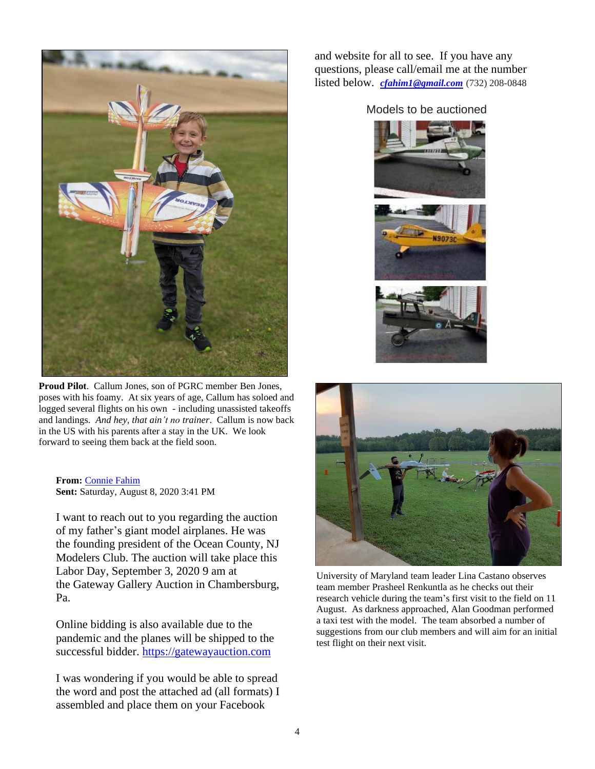

**Proud Pilot**. Callum Jones, son of PGRC member Ben Jones, poses with his foamy. At six years of age, Callum has soloed and logged several flights on his own - including unassisted takeoffs and landings. *And hey, that ain't no trainer*. Callum is now back in the US with his parents after a stay in the UK. We look forward to seeing them back at the field soon.

**From:** [Connie Fahim](mailto:cfahim@oceaninc.org) **Sent:** Saturday, August 8, 2020 3:41 PM

I want to reach out to you regarding the auction of my father's giant model airplanes. He was the founding president of the Ocean County, NJ Modelers Club. The auction will take place this Labor Day, September 3, 2020 9 am at the Gateway Gallery Auction in Chambersburg, Pa.

Online bidding is also available due to the pandemic and the planes will be shipped to the successful bidder. [https://gatewayauction.com](https://gatewayauction.com/)

I was wondering if you would be able to spread the word and post the attached ad (all formats) I assembled and place them on your Facebook

and website for all to see. If you have any questions, please call/email me at the number listed below. *[cfahim1@gmail.com](mailto:cfahim1@gmail.com)* (732) 208-0848

## Models to be auctioned







University of Maryland team leader Lina Castano observes team member Prasheel Renkuntla as he checks out their research vehicle during the team's first visit to the field on 11 August. As darkness approached, Alan Goodman performed a taxi test with the model. The team absorbed a number of suggestions from our club members and will aim for an initial test flight on their next visit.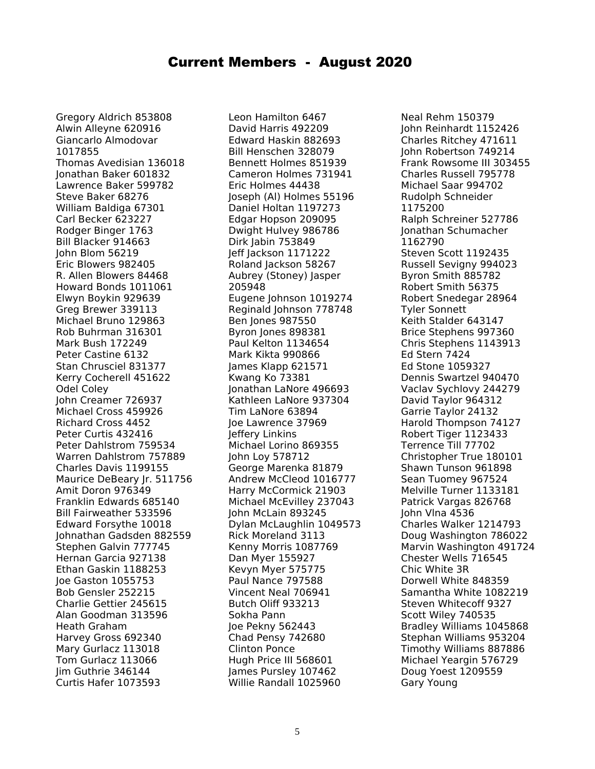# Current Members - August 2020

Gregory Aldrich 853808 Alwin Alleyne 620916 Giancarlo Almodovar 1017855 Thomas Avedisian 136018 Jonathan Baker 601832 Lawrence Baker 599782 Steve Baker 68276 William Baldiga 67301 Carl Becker 623227 Rodger Binger 1763 Bill Blacker 914663 John Blom 56219 Eric Blowers 982405 R. Allen Blowers 84468 Howard Bonds 1011061 Elwyn Boykin 929639 Greg Brewer 339113 Michael Bruno 129863 Rob Buhrman 316301 Mark Bush 172249 Peter Castine 6132 Stan Chrusciel 831377 Kerry Cocherell 451622 Odel Coley John Creamer 726937 Michael Cross 459926 Richard Cross 4452 Peter Curtis 432416 Peter Dahlstrom 759534 Warren Dahlstrom 757889 Charles Davis 1199155 Maurice DeBeary Ir. 511756 Amit Doron 976349 Franklin Edwards 685140 Bill Fairweather 533596 Edward Forsythe 10018 Johnathan Gadsden 882559 Stephen Galvin 777745 Hernan Garcia 927138 Ethan Gaskin 1188253 Joe Gaston 1055753 Bob Gensler 252215 Charlie Gettier 245615 Alan Goodman 313596 Heath Graham Harvey Gross 692340 Mary Gurlacz 113018 Tom Gurlacz 113066 Jim Guthrie 346144 Curtis Hafer 1073593

Leon Hamilton 6467 David Harris 492209 Edward Haskin 882693 Bill Henschen 328079 Bennett Holmes 851939 Cameron Holmes 731941 Eric Holmes 44438 Joseph (Al) Holmes 55196 Daniel Holtan 1197273 Edgar Hopson 209095 Dwight Hulvey 986786 Dirk Jabin 753849 Jeff Jackson 1171222 Roland Jackson 58267 Aubrey (Stoney) Jasper 205948 Eugene Johnson 1019274 Reginald Johnson 778748 Ben Jones 987550 Byron Jones 898381 Paul Kelton 1134654 Mark Kikta 990866 James Klapp 621571 Kwang Ko 73381 Jonathan LaNore 496693 Kathleen LaNore 937304 Tim LaNore 63894 Joe Lawrence 37969 Jeffery Linkins Michael Lorino 869355 John Loy 578712 George Marenka 81879 Andrew McCleod 1016777 Harry McCormick 21903 Michael McEvilley 237043 John McLain 893245 Dylan McLaughlin 1049573 Rick Moreland 3113 Kenny Morris 1087769 Dan Myer 155927 Kevyn Myer 575775 Paul Nance 797588 Vincent Neal 706941 Butch Oliff 933213 Sokha Pann Joe Pekny 562443 Chad Pensy 742680 Clinton Ponce Hugh Price III 568601 James Pursley 107462 Willie Randall 1025960

Neal Rehm 150379 John Reinhardt 1152426 Charles Ritchey 471611 John Robertson 749214 Frank Rowsome III 303455 Charles Russell 795778 Michael Saar 994702 Rudolph Schneider 1175200 Ralph Schreiner 527786 Jonathan Schumacher 1162790 Steven Scott 1192435 Russell Sevigny 994023 Byron Smith 885782 Robert Smith 56375 Robert Snedegar 28964 Tyler Sonnett Keith Stalder 643147 Brice Stephens 997360 Chris Stephens 1143913 Ed Stern 7424 Ed Stone 1059327 Dennis Swartzel 940470 Vaclav Sychlovy 244279 David Taylor 964312 Garrie Taylor 24132 Harold Thompson 74127 Robert Tiger 1123433 Terrence Till 77702 Christopher True 180101 Shawn Tunson 961898 Sean Tuomey 967524 Melville Turner 1133181 Patrick Vargas 826768 John Vlna 4536 Charles Walker 1214793 Doug Washington 786022 Marvin Washington 491724 Chester Wells 716545 Chic White 3R Dorwell White 848359 Samantha White 1082219 Steven Whitecoff 9327 Scott Wiley 740535 Bradley Williams 1045868 Stephan Williams 953204 Timothy Williams 887886 Michael Yeargin 576729 Doug Yoest 1209559 Gary Young